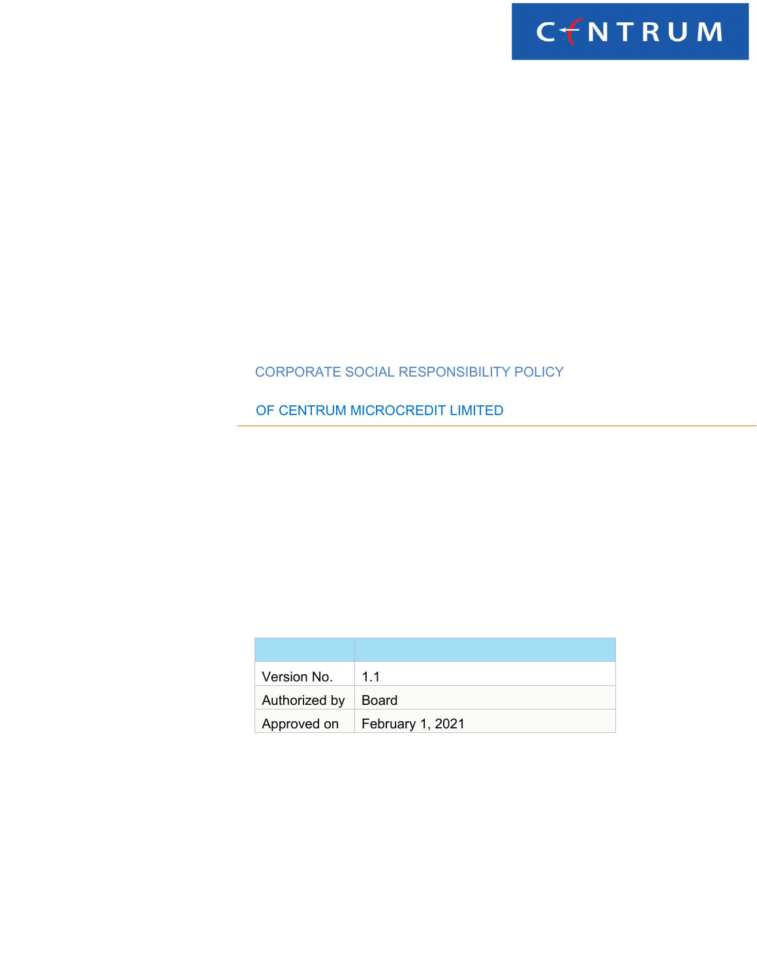

# CORPORATE SOCIAL RESPONSIBILITY POLICY

OF CENTRUM MICROCREDIT LIMITED

| Version No.   | 11                             |
|---------------|--------------------------------|
| Authorized by | Board                          |
|               | Approved on   February 1, 2021 |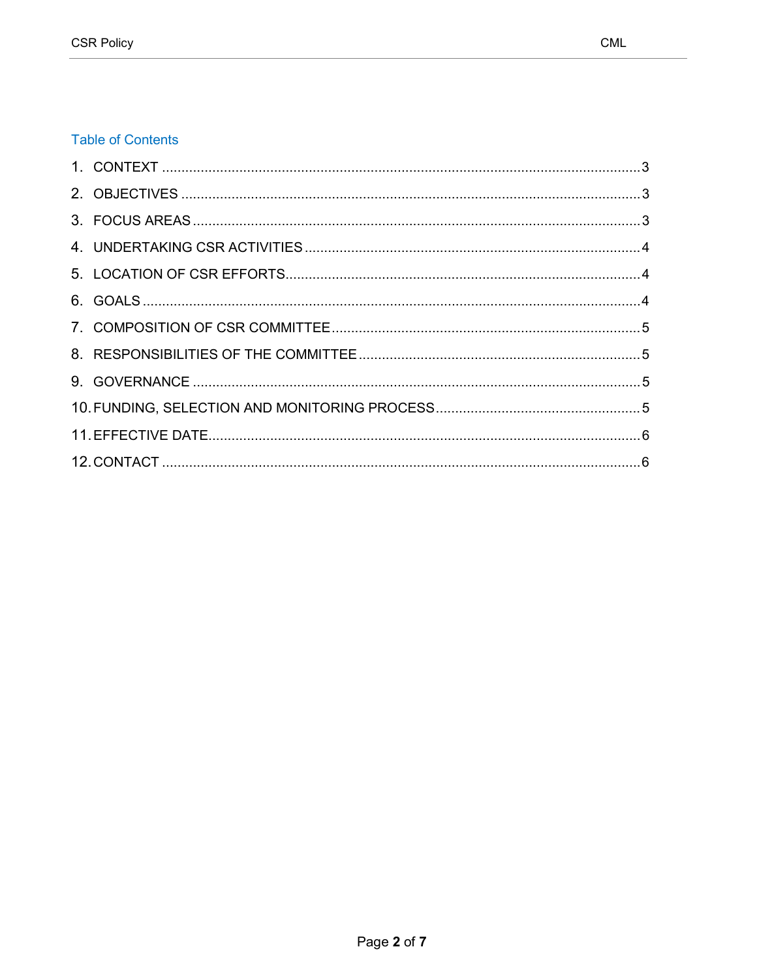## **Table of Contents**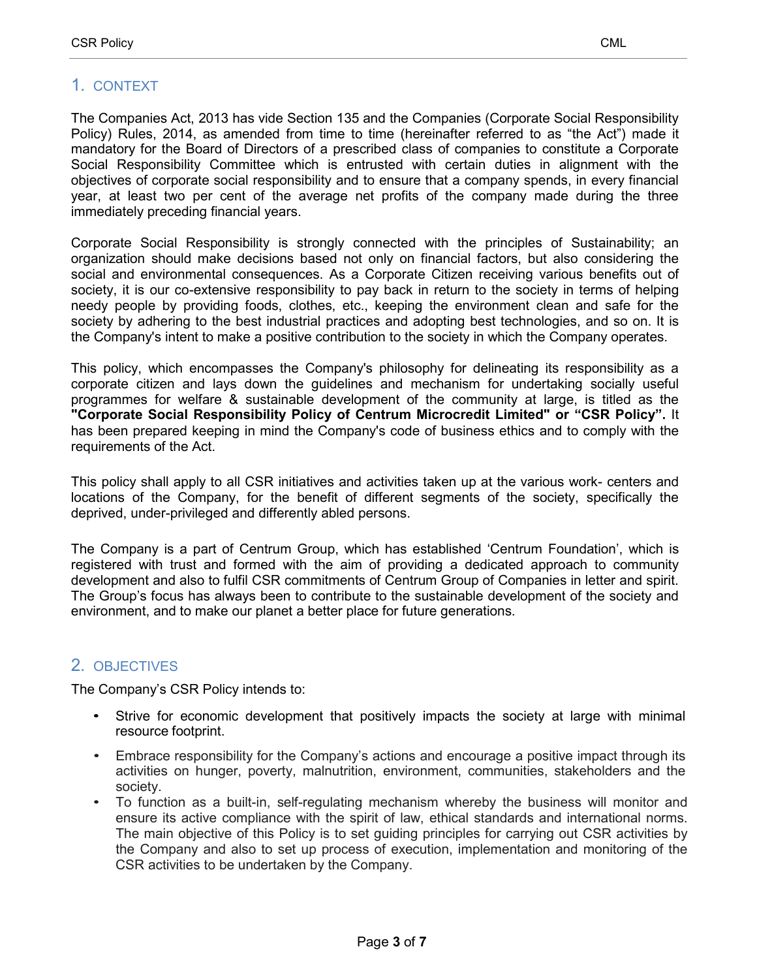# <span id="page-2-0"></span>1. CONTEXT

The Companies Act, 2013 has vide Section 135 and the Companies (Corporate Social Responsibility Policy) Rules, 2014, as amended from time to time (hereinafter referred to as "the Act") made it mandatory for the Board of Directors of a prescribed class of companies to constitute a Corporate Social Responsibility Committee which is entrusted with certain duties in alignment with the objectives of corporate social responsibility and to ensure that a company spends, in every financial year, at least two per cent of the average net profits of the company made during the three immediately preceding financial years.

<span id="page-2-1"></span>Corporate Social Responsibility is strongly connected with the principles of Sustainability; an organization should make decisions based not only on financial factors, but also considering the social and environmental consequences. As a Corporate Citizen receiving various benefits out of society, it is our co-extensive responsibility to pay back in return to the society in terms of helping needy people by providing foods, clothes, etc., keeping the environment clean and safe for the society by adhering to the best industrial practices and adopting best technologies, and so on. It is the Company's intent to make a positive contribution to the society in which the Company operates.

This policy, which encompasses the Company's philosophy for delineating its responsibility as a corporate citizen and lays down the guidelines and mechanism for undertaking socially useful programmes for welfare & sustainable development of the community at large, is titled as the **"Corporate Social Responsibility Policy of Centrum Microcredit Limited" or "CSR Policy".** It has been prepared keeping in mind the Company's code of business ethics and to comply with the requirements of the Act.

This policy shall apply to all CSR initiatives and activities taken up at the various work- centers and locations of the Company, for the benefit of different segments of the society, specifically the deprived, under-privileged and differently abled persons.

The Company is a part of Centrum Group, which has established 'Centrum Foundation', which is registered with trust and formed with the aim of providing a dedicated approach to community development and also to fulfil CSR commitments of Centrum Group of Companies in letter and spirit. The Group's focus has always been to contribute to the sustainable development of the society and environment, and to make our planet a better place for future generations.

# 2. OBJECTIVES

The Company's CSR Policy intends to:

- Strive for economic development that positively impacts the society at large with minimal resource footprint.
- Embrace responsibility for the Company's actions and encourage a positive impact through its activities on hunger, poverty, malnutrition, environment, communities, stakeholders and the society.
- To function as a built-in, self-regulating mechanism whereby the business will monitor and ensure its active compliance with the spirit of law, ethical standards and international norms. The main objective of this Policy is to set guiding principles for carrying out CSR activities by the Company and also to set up process of execution, implementation and monitoring of the CSR activities to be undertaken by the Company.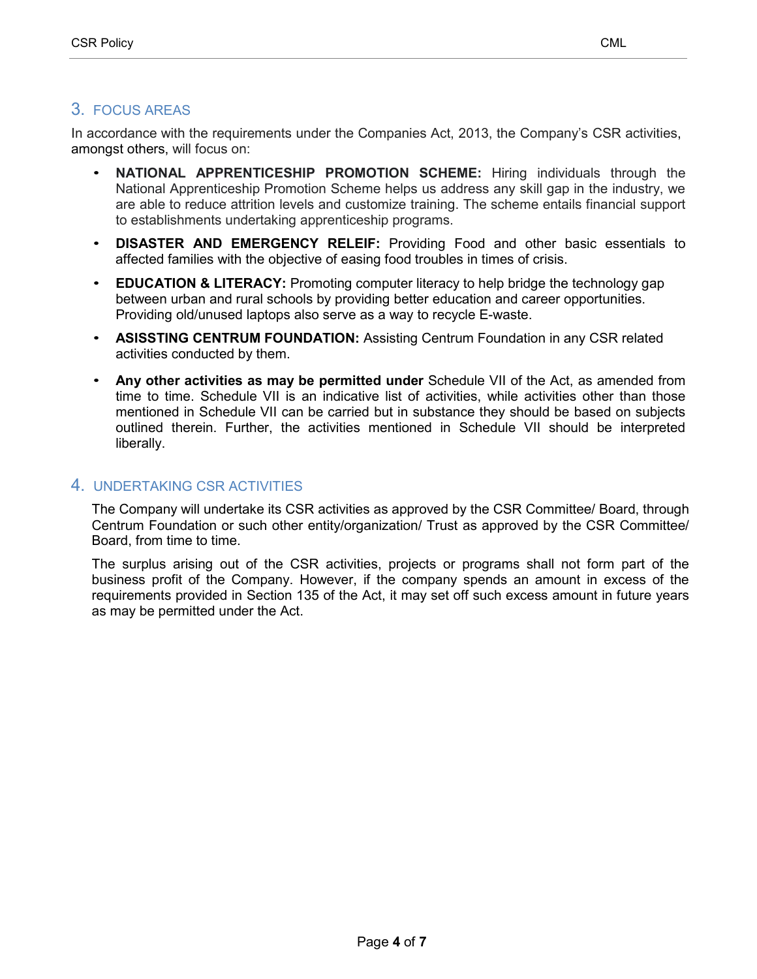## <span id="page-3-0"></span>3. FOCUS AREAS

In accordance with the requirements under the Companies Act, 2013, the Company's CSR activities, amongst others, will focus on:

- **NATIONAL APPRENTICESHIP PROMOTION SCHEME:** Hiring individuals through the National Apprenticeship Promotion Scheme helps us address any skill gap in the industry, we are able to reduce attrition levels and customize training. The scheme entails financial support to establishments undertaking apprenticeship programs.
- **DISASTER AND EMERGENCY RELEIF:** Providing Food and other basic essentials to affected families with the objective of easing food troubles in times of crisis.
- **EDUCATION & LITERACY:** Promoting computer literacy to help bridge the technology gap between urban and rural schools by providing better education and career opportunities. Providing old/unused laptops also serve as a way to recycle E-waste.
- **ASISSTING CENTRUM FOUNDATION:** Assisting Centrum Foundation in any CSR related activities conducted by them.
- **Any other activities as may be permitted under** Schedule VII of the Act, as amended from time to time. Schedule VII is an indicative list of activities, while activities other than those mentioned in Schedule VII can be carried but in substance they should be based on subjects outlined therein. Further, the activities mentioned in Schedule VII should be interpreted liberally.

#### <span id="page-3-1"></span>4. UNDERTAKING CSR ACTIVITIES

The Company will undertake its CSR activities as approved by the CSR Committee/ Board, through Centrum Foundation or such other entity/organization/ Trust as approved by the CSR Committee/ Board, from time to time.

The surplus arising out of the CSR activities, projects or programs shall not form part of the business profit of the Company. However, if the company spends an amount in excess of the requirements provided in Section 135 of the Act, it may set off such excess amount in future years as may be permitted under the Act.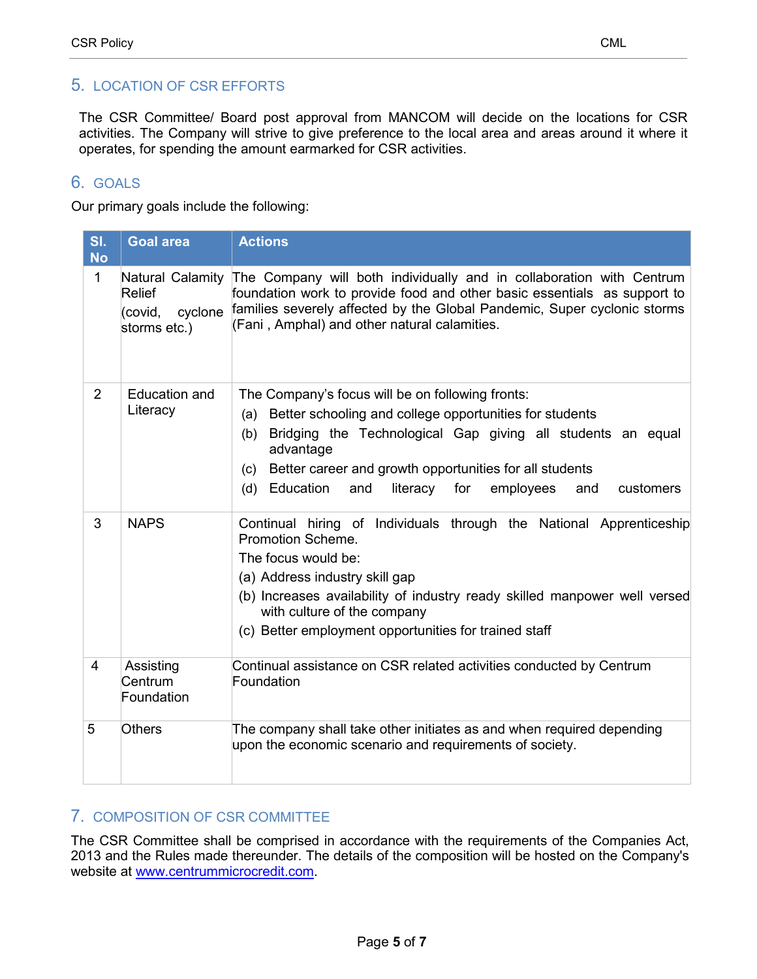### <span id="page-4-0"></span>5. LOCATION OF CSR EFFORTS

The CSR Committee/ Board post approval from MANCOM will decide on the locations for CSR activities. The Company will strive to give preference to the local area and areas around it where it operates, for spending the amount earmarked for CSR activities.

## <span id="page-4-1"></span>6. GOALS

Our primary goals include the following:

| SI.<br><b>No</b> | <b>Goal area</b>                                                 | <b>Actions</b>                                                                                                                                                                                                                                                                                                                                         |
|------------------|------------------------------------------------------------------|--------------------------------------------------------------------------------------------------------------------------------------------------------------------------------------------------------------------------------------------------------------------------------------------------------------------------------------------------------|
| 1                | Natural Calamity<br>Relief<br>cyclone<br>(covid,<br>storms etc.) | The Company will both individually and in collaboration with Centrum<br>foundation work to provide food and other basic essentials as support to<br>families severely affected by the Global Pandemic, Super cyclonic storms<br>(Fani, Amphal) and other natural calamities.                                                                           |
| 2                | <b>Education and</b><br>Literacy                                 | The Company's focus will be on following fronts:<br>Better schooling and college opportunities for students<br>(a)<br>Bridging the Technological Gap giving all students an equal<br>(b)<br>advantage<br>Better career and growth opportunities for all students<br>(c)<br>Education<br>(d)<br>and<br>literacy<br>for<br>employees<br>and<br>customers |
| 3                | <b>NAPS</b>                                                      | Continual hiring of Individuals through the National Apprenticeship<br>Promotion Scheme.<br>The focus would be:<br>(a) Address industry skill gap<br>(b) Increases availability of industry ready skilled manpower well versed<br>with culture of the company<br>(c) Better employment opportunities for trained staff                                 |
| 4                | Assisting<br>Centrum<br>Foundation                               | Continual assistance on CSR related activities conducted by Centrum<br>Foundation                                                                                                                                                                                                                                                                      |
| 5                | <b>Others</b>                                                    | The company shall take other initiates as and when required depending<br>upon the economic scenario and requirements of society.                                                                                                                                                                                                                       |

#### <span id="page-4-2"></span>7. COMPOSITION OF CSR COMMITTEE

The CSR Committee shall be comprised in accordance with the requirements of the Companies Act, 2013 and the Rules made thereunder. The details of the composition will be hosted on the Company's website at [www.centrummicrocredit.com.](http://www.centrummicrocredit.com/)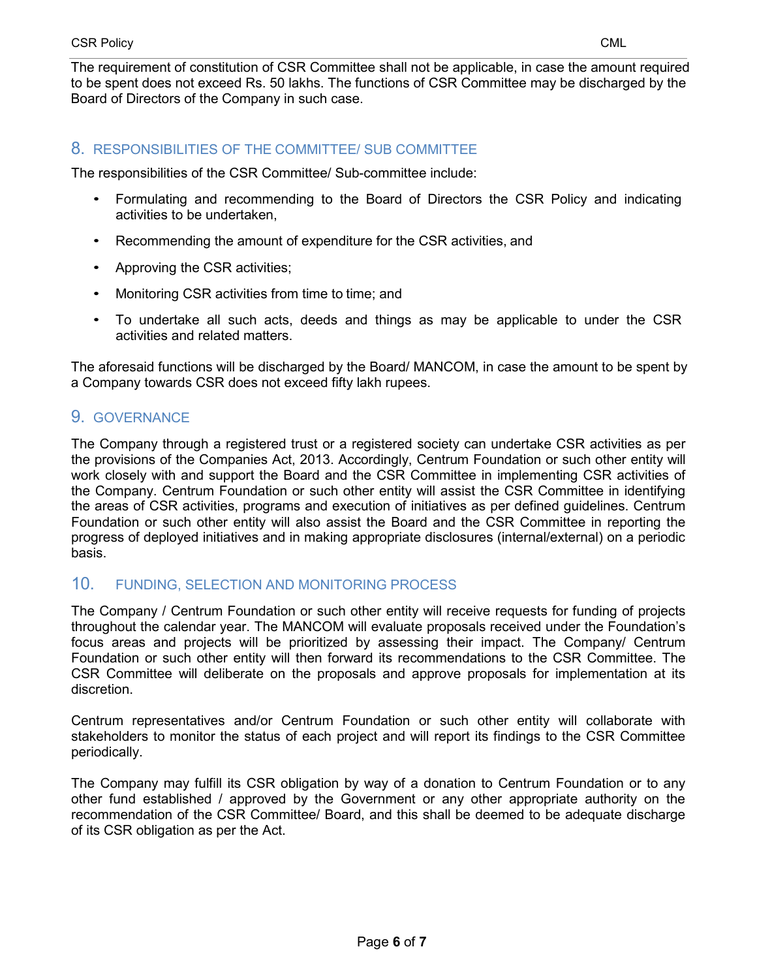The requirement of constitution of CSR Committee shall not be applicable, in case the amount required to be spent does not exceed Rs. 50 lakhs. The functions of CSR Committee may be discharged by the Board of Directors of the Company in such case.

#### <span id="page-5-0"></span>8. RESPONSIBILITIES OF THE COMMITTEE/ SUB COMMITTEE

The responsibilities of the CSR Committee/ Sub-committee include:

- Formulating and recommending to the Board of Directors the CSR Policy and indicating activities to be undertaken,
- Recommending the amount of expenditure for the CSR activities, and
- Approving the CSR activities;
- Monitoring CSR activities from time to time; and
- To undertake all such acts, deeds and things as may be applicable to under the CSR activities and related matters.

The aforesaid functions will be discharged by the Board/ MANCOM, in case the amount to be spent by a Company towards CSR does not exceed fifty lakh rupees.

### <span id="page-5-1"></span>9. GOVERNANCE

The Company through a registered trust or a registered society can undertake CSR activities as per the provisions of the Companies Act, 2013. Accordingly, Centrum Foundation or such other entity will work closely with and support the Board and the CSR Committee in implementing CSR activities of the Company. Centrum Foundation or such other entity will assist the CSR Committee in identifying the areas of CSR activities, programs and execution of initiatives as per defined guidelines. Centrum Foundation or such other entity will also assist the Board and the CSR Committee in reporting the progress of deployed initiatives and in making appropriate disclosures (internal/external) on a periodic basis.

#### <span id="page-5-2"></span>10. FUNDING, SELECTION AND MONITORING PROCESS

The Company / Centrum Foundation or such other entity will receive requests for funding of projects throughout the calendar year. The MANCOM will evaluate proposals received under the Foundation's focus areas and projects will be prioritized by assessing their impact. The Company/ Centrum Foundation or such other entity will then forward its recommendations to the CSR Committee. The CSR Committee will deliberate on the proposals and approve proposals for implementation at its discretion.

Centrum representatives and/or Centrum Foundation or such other entity will collaborate with stakeholders to monitor the status of each project and will report its findings to the CSR Committee periodically.

The Company may fulfill its CSR obligation by way of a donation to Centrum Foundation or to any other fund established / approved by the Government or any other appropriate authority on the recommendation of the CSR Committee/ Board, and this shall be deemed to be adequate discharge of its CSR obligation as per the Act.